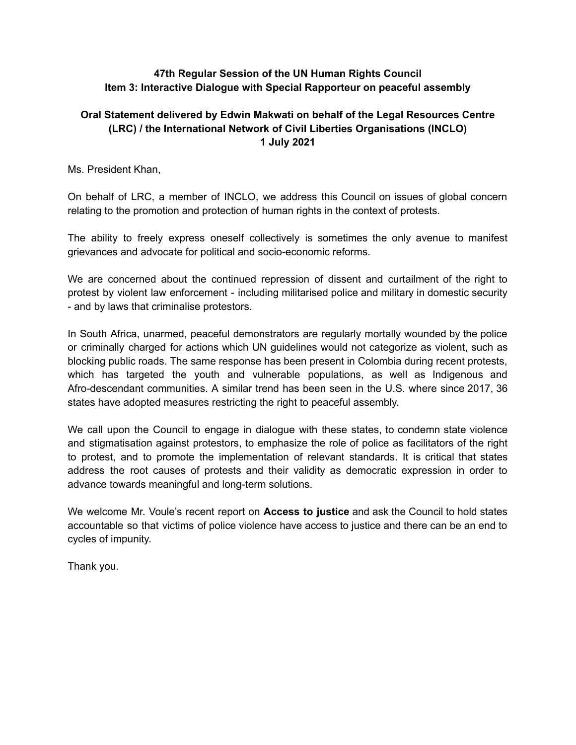## **47th Regular Session of the UN Human Rights Council Item 3: Interactive Dialogue with Special Rapporteur on peaceful assembly**

## **Oral Statement delivered by Edwin Makwati on behalf of the Legal Resources Centre (LRC) / the International Network of Civil Liberties Organisations (INCLO) 1 July 2021**

Ms. President Khan,

On behalf of LRC, a member of INCLO, we address this Council on issues of global concern relating to the promotion and protection of human rights in the context of protests.

The ability to freely express oneself collectively is sometimes the only avenue to manifest grievances and advocate for political and socio-economic reforms.

We are concerned about the continued repression of dissent and curtailment of the right to protest by violent law enforcement - including militarised police and military in domestic security - and by laws that criminalise protestors.

In South Africa, unarmed, peaceful demonstrators are regularly mortally wounded by the police or criminally charged for actions which UN guidelines would not categorize as violent, such as blocking public roads. The same response has been present in Colombia during recent protests, which has targeted the youth and vulnerable populations, as well as Indigenous and Afro-descendant communities. A similar trend has been seen in the U.S. where since 2017, 36 states have adopted measures restricting the right to peaceful assembly.

We call upon the Council to engage in dialogue with these states, to condemn state violence and stigmatisation against protestors, to emphasize the role of police as facilitators of the right to protest, and to promote the implementation of relevant standards. It is critical that states address the root causes of protests and their validity as democratic expression in order to advance towards meaningful and long-term solutions.

We welcome Mr. Voule's recent report on **Access to justice** and ask the Council to hold states accountable so that victims of police violence have access to justice and there can be an end to cycles of impunity.

Thank you.